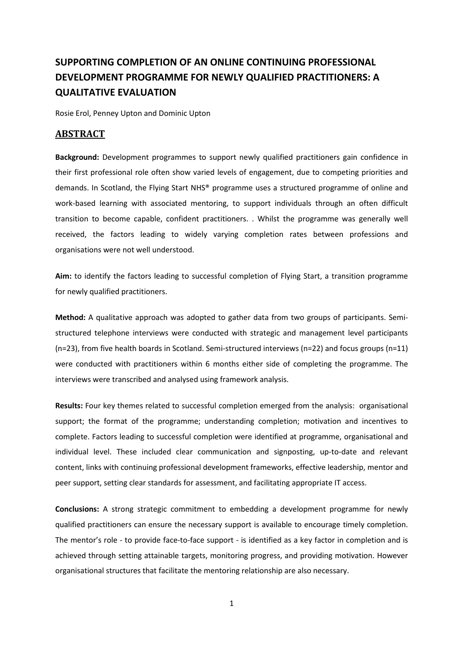# **SUPPORTING COMPLETION OF AN ONLINE CONTINUING PROFESSIONAL DEVELOPMENT PROGRAMME FOR NEWLY QUALIFIED PRACTITIONERS: A QUALITATIVE EVALUATION**

Rosie Erol, Penney Upton and Dominic Upton

## **ABSTRACT**

**Background:** Development programmes to support newly qualified practitioners gain confidence in their first professional role often show varied levels of engagement, due to competing priorities and demands. In Scotland, the Flying Start NHS® programme uses a structured programme of online and work-based learning with associated mentoring, to support individuals through an often difficult transition to become capable, confident practitioners. . Whilst the programme was generally well received, the factors leading to widely varying completion rates between professions and organisations were not well understood.

**Aim:** to identify the factors leading to successful completion of Flying Start, a transition programme for newly qualified practitioners.

**Method:** A qualitative approach was adopted to gather data from two groups of participants. Semistructured telephone interviews were conducted with strategic and management level participants (n=23), from five health boards in Scotland. Semi-structured interviews (n=22) and focus groups (n=11) were conducted with practitioners within 6 months either side of completing the programme. The interviews were transcribed and analysed using framework analysis.

**Results:** Four key themes related to successful completion emerged from the analysis: organisational support; the format of the programme; understanding completion; motivation and incentives to complete. Factors leading to successful completion were identified at programme, organisational and individual level. These included clear communication and signposting, up-to-date and relevant content, links with continuing professional development frameworks, effective leadership, mentor and peer support, setting clear standards for assessment, and facilitating appropriate IT access.

**Conclusions:** A strong strategic commitment to embedding a development programme for newly qualified practitioners can ensure the necessary support is available to encourage timely completion. The mentor's role - to provide face-to-face support - is identified as a key factor in completion and is achieved through setting attainable targets, monitoring progress, and providing motivation. However organisational structures that facilitate the mentoring relationship are also necessary.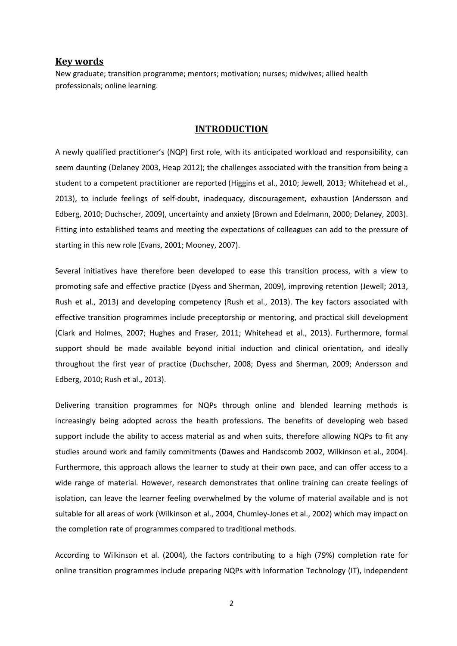## **Key words**

New graduate; transition programme; mentors; motivation; nurses; midwives; allied health professionals; online learning.

## **INTRODUCTION**

A newly qualified practitioner's (NQP) first role, with its anticipated workload and responsibility, can seem daunting (Delaney 2003, Heap 2012); the challenges associated with the transition from being a student to a competent practitioner are reported (Higgins et al., 2010; Jewell, 2013; Whitehead et al., 2013), to include feelings of self-doubt, inadequacy, discouragement, exhaustion (Andersson and Edberg, 2010; Duchscher, 2009), uncertainty and anxiety (Brown and Edelmann, 2000; Delaney, 2003). Fitting into established teams and meeting the expectations of colleagues can add to the pressure of starting in this new role (Evans, 2001; Mooney, 2007).

Several initiatives have therefore been developed to ease this transition process, with a view to promoting safe and effective practice (Dyess and Sherman, 2009), improving retention (Jewell; 2013, Rush et al., 2013) and developing competency (Rush et al., 2013). The key factors associated with effective transition programmes include preceptorship or mentoring, and practical skill development (Clark and Holmes, 2007; Hughes and Fraser, 2011; Whitehead et al., 2013). Furthermore, formal support should be made available beyond initial induction and clinical orientation, and ideally throughout the first year of practice (Duchscher, 2008; Dyess and Sherman, 2009; Andersson and Edberg, 2010; Rush et al., 2013).

Delivering transition programmes for NQPs through online and blended learning methods is increasingly being adopted across the health professions. The benefits of developing web based support include the ability to access material as and when suits, therefore allowing NQPs to fit any studies around work and family commitments (Dawes and Handscomb 2002, Wilkinson et al., 2004). Furthermore, this approach allows the learner to study at their own pace, and can offer access to a wide range of material. However, research demonstrates that online training can create feelings of isolation, can leave the learner feeling overwhelmed by the volume of material available and is not suitable for all areas of work (Wilkinson et al., 2004, Chumley-Jones et al., 2002) which may impact on the completion rate of programmes compared to traditional methods.

According to Wilkinson et al. (2004), the factors contributing to a high (79%) completion rate for online transition programmes include preparing NQPs with Information Technology (IT), independent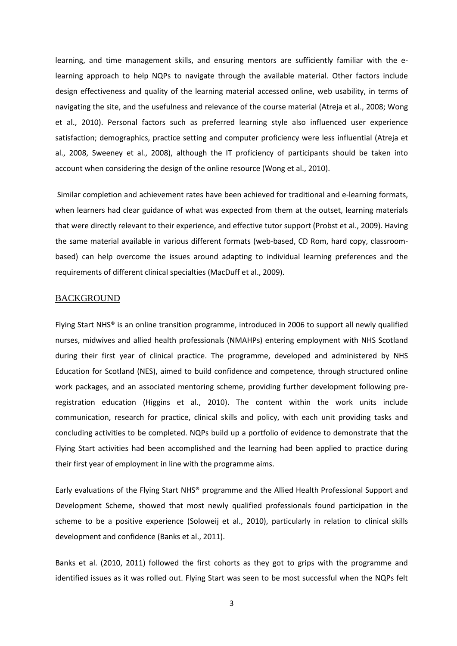learning, and time management skills, and ensuring mentors are sufficiently familiar with the elearning approach to help NQPs to navigate through the available material. Other factors include design effectiveness and quality of the learning material accessed online, web usability, in terms of navigating the site, and the usefulness and relevance of the course material (Atreja et al., 2008; Wong et al., 2010). Personal factors such as preferred learning style also influenced user experience satisfaction; demographics, practice setting and computer proficiency were less influential (Atreja et al., 2008, Sweeney et al., 2008), although the IT proficiency of participants should be taken into account when considering the design of the online resource (Wong et al., 2010).

Similar completion and achievement rates have been achieved for traditional and e-learning formats, when learners had clear guidance of what was expected from them at the outset, learning materials that were directly relevant to their experience, and effective tutor support (Probst et al., 2009). Having the same material available in various different formats (web-based, CD Rom, hard copy, classroombased) can help overcome the issues around adapting to individual learning preferences and the requirements of different clinical specialties (MacDuff et al., 2009).

#### BACKGROUND

Flying Start NHS® is an online transition programme, introduced in 2006 to support all newly qualified nurses, midwives and allied health professionals (NMAHPs) entering employment with NHS Scotland during their first year of clinical practice. The programme, developed and administered by NHS Education for Scotland (NES), aimed to build confidence and competence, through structured online work packages, and an associated mentoring scheme, providing further development following preregistration education (Higgins et al., 2010). The content within the work units include communication, research for practice, clinical skills and policy, with each unit providing tasks and concluding activities to be completed. NQPs build up a portfolio of evidence to demonstrate that the Flying Start activities had been accomplished and the learning had been applied to practice during their first year of employment in line with the programme aims.

Early evaluations of the Flying Start NHS® programme and the Allied Health Professional Support and Development Scheme, showed that most newly qualified professionals found participation in the scheme to be a positive experience (Soloweij et al., 2010), particularly in relation to clinical skills development and confidence (Banks et al., 2011).

Banks et al. (2010, 2011) followed the first cohorts as they got to grips with the programme and identified issues as it was rolled out. Flying Start was seen to be most successful when the NQPs felt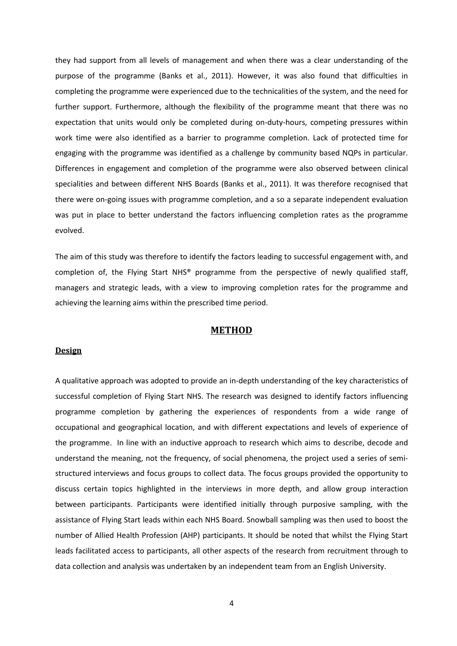they had support from all levels of management and when there was a clear understanding of the purpose of the programme (Banks et al., 2011). However, it was also found that difficulties in completing the programme were experienced due to the technicalities of the system, and the need for further support. Furthermore, although the flexibility of the programme meant that there was no expectation that units would only be completed during on-duty-hours, competing pressures within work time were also identified as a barrier to programme completion. Lack of protected time for engaging with the programme was identified as a challenge by community based NQPs in particular. Differences in engagement and completion of the programme were also observed between clinical specialities and between different NHS Boards (Banks et al., 2011). It was therefore recognised that there were on-going issues with programme completion, and a so a separate independent evaluation was put in place to better understand the factors influencing completion rates as the programme evolved.

The aim of this study was therefore to identify the factors leading to successful engagement with, and completion of, the Flying Start NHS® programme from the perspective of newly qualified staff, managers and strategic leads, with a view to improving completion rates for the programme and achieving the learning aims within the prescribed time period.

#### **METHOD**

#### **Design**

A qualitative approach was adopted to provide an in-depth understanding of the key characteristics of successful completion of Flying Start NHS. The research was designed to identify factors influencing programme completion by gathering the experiences of respondents from a wide range of occupational and geographical location, and with different expectations and levels of experience of the programme. In line with an inductive approach to research which aims to describe, decode and understand the meaning, not the frequency, of social phenomena, the project used a series of semistructured interviews and focus groups to collect data. The focus groups provided the opportunity to discuss certain topics highlighted in the interviews in more depth, and allow group interaction between participants. Participants were identified initially through purposive sampling, with the assistance of Flying Start leads within each NHS Board. Snowball sampling was then used to boost the number of Allied Health Profession (AHP) participants. It should be noted that whilst the Flying Start leads facilitated access to participants, all other aspects of the research from recruitment through to data collection and analysis was undertaken by an independent team from an English University.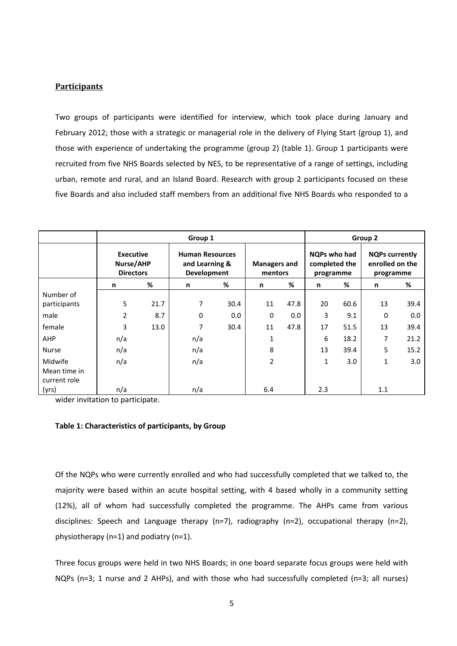#### **Participants**

Two groups of participants were identified for interview, which took place during January and February 2012; those with a strategic or managerial role in the delivery of Flying Start (group 1), and those with experience of undertaking the programme (group 2) (table 1). Group 1 participants were recruited from five NHS Boards selected by NES, to be representative of a range of settings, including urban, remote and rural, and an Island Board. Research with group 2 participants focused on these five Boards and also included staff members from an additional five NHS Boards who responded to a

|                              | Group 1                                           |      |                                                                |      |                                | Group 2 |                                            |      |                                                       |      |
|------------------------------|---------------------------------------------------|------|----------------------------------------------------------------|------|--------------------------------|---------|--------------------------------------------|------|-------------------------------------------------------|------|
|                              | <b>Executive</b><br>Nurse/AHP<br><b>Directors</b> |      | <b>Human Resources</b><br>and Learning &<br><b>Development</b> |      | <b>Managers and</b><br>mentors |         | NQPs who had<br>completed the<br>programme |      | <b>NQPs currently</b><br>enrolled on the<br>programme |      |
|                              | n                                                 | %    | n                                                              | %    | n                              | %       | n                                          | %    | n                                                     | %    |
| Number of                    |                                                   |      |                                                                |      |                                |         |                                            |      |                                                       |      |
| participants                 | 5                                                 | 21.7 | 7                                                              | 30.4 | 11                             | 47.8    | 20                                         | 60.6 | 13                                                    | 39.4 |
| male                         | $\overline{2}$                                    | 8.7  | $\mathbf 0$                                                    | 0.0  | $\mathbf 0$                    | 0.0     | 3                                          | 9.1  | 0                                                     | 0.0  |
| female                       | 3                                                 | 13.0 | 7                                                              | 30.4 | 11                             | 47.8    | 17                                         | 51.5 | 13                                                    | 39.4 |
| AHP                          | n/a                                               |      | n/a                                                            |      | 1                              |         | 6                                          | 18.2 | 7                                                     | 21.2 |
| <b>Nurse</b>                 | n/a                                               |      | n/a                                                            |      | 8                              |         | 13                                         | 39.4 | 5                                                     | 15.2 |
| Midwife                      | n/a                                               |      | n/a                                                            |      | 2                              |         | 1                                          | 3.0  | $\mathbf{1}$                                          | 3.0  |
| Mean time in<br>current role |                                                   |      |                                                                |      |                                |         |                                            |      |                                                       |      |
| (yrs)                        | n/a                                               |      | n/a                                                            |      | 6.4                            |         | 2.3                                        |      | 1.1                                                   |      |

wider invitation to participate.

#### **Table 1: Characteristics of participants, by Group**

Of the NQPs who were currently enrolled and who had successfully completed that we talked to, the majority were based within an acute hospital setting, with 4 based wholly in a community setting (12%), all of whom had successfully completed the programme. The AHPs came from various disciplines: Speech and Language therapy (n=7), radiography (n=2), occupational therapy (n=2), physiotherapy (n=1) and podiatry (n=1).

Three focus groups were held in two NHS Boards; in one board separate focus groups were held with NQPs (n=3; 1 nurse and 2 AHPs), and with those who had successfully completed (n=3; all nurses)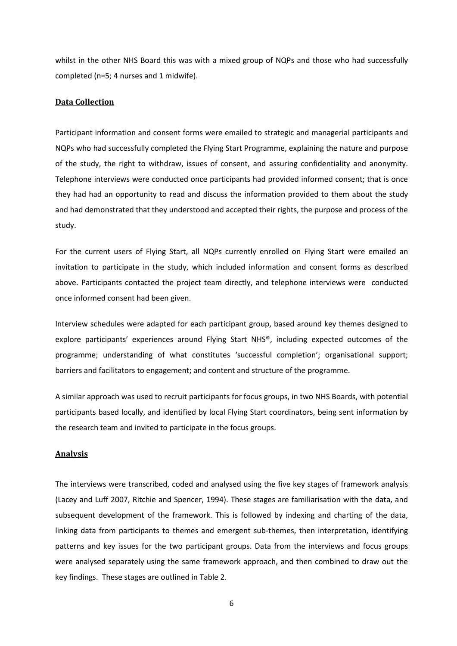whilst in the other NHS Board this was with a mixed group of NQPs and those who had successfully completed (n=5; 4 nurses and 1 midwife).

#### **Data Collection**

Participant information and consent forms were emailed to strategic and managerial participants and NQPs who had successfully completed the Flying Start Programme, explaining the nature and purpose of the study, the right to withdraw, issues of consent, and assuring confidentiality and anonymity. Telephone interviews were conducted once participants had provided informed consent; that is once they had had an opportunity to read and discuss the information provided to them about the study and had demonstrated that they understood and accepted their rights, the purpose and process of the study.

For the current users of Flying Start, all NQPs currently enrolled on Flying Start were emailed an invitation to participate in the study, which included information and consent forms as described above. Participants contacted the project team directly, and telephone interviews were conducted once informed consent had been given.

Interview schedules were adapted for each participant group, based around key themes designed to explore participants' experiences around Flying Start NHS®, including expected outcomes of the programme; understanding of what constitutes 'successful completion'; organisational support; barriers and facilitators to engagement; and content and structure of the programme.

A similar approach was used to recruit participants for focus groups, in two NHS Boards, with potential participants based locally, and identified by local Flying Start coordinators, being sent information by the research team and invited to participate in the focus groups.

#### **Analysis**

The interviews were transcribed, coded and analysed using the five key stages of framework analysis (Lacey and Luff 2007, Ritchie and Spencer, 1994). These stages are familiarisation with the data, and subsequent development of the framework. This is followed by indexing and charting of the data, linking data from participants to themes and emergent sub-themes, then interpretation, identifying patterns and key issues for the two participant groups. Data from the interviews and focus groups were analysed separately using the same framework approach, and then combined to draw out the key findings. These stages are outlined in Table 2.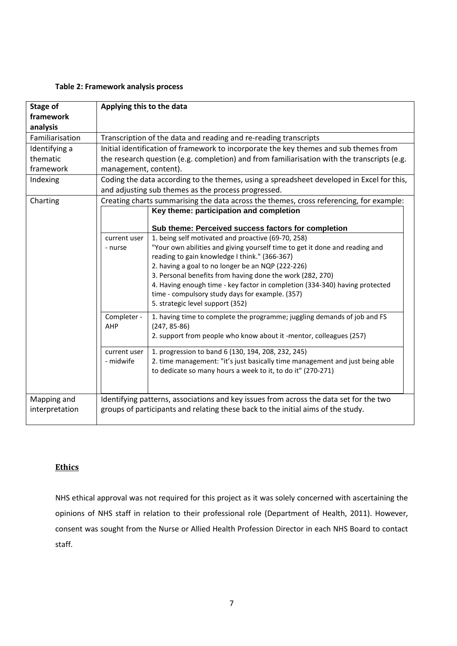## **Table 2: Framework analysis process**

| <b>Stage of</b><br>framework<br>analysis | Applying this to the data                                                                                                                                                                                                                                                                                                                                                                                                       |  |  |  |  |
|------------------------------------------|---------------------------------------------------------------------------------------------------------------------------------------------------------------------------------------------------------------------------------------------------------------------------------------------------------------------------------------------------------------------------------------------------------------------------------|--|--|--|--|
| Familiarisation                          | Transcription of the data and reading and re-reading transcripts                                                                                                                                                                                                                                                                                                                                                                |  |  |  |  |
| Identifying a                            | Initial identification of framework to incorporate the key themes and sub themes from                                                                                                                                                                                                                                                                                                                                           |  |  |  |  |
| thematic                                 | the research question (e.g. completion) and from familiarisation with the transcripts (e.g.                                                                                                                                                                                                                                                                                                                                     |  |  |  |  |
| framework                                | management, content).                                                                                                                                                                                                                                                                                                                                                                                                           |  |  |  |  |
| Indexing                                 | Coding the data according to the themes, using a spreadsheet developed in Excel for this,<br>and adjusting sub themes as the process progressed.                                                                                                                                                                                                                                                                                |  |  |  |  |
| Charting                                 | Creating charts summarising the data across the themes, cross referencing, for example:<br>Key theme: participation and completion                                                                                                                                                                                                                                                                                              |  |  |  |  |
|                                          | Sub theme: Perceived success factors for completion                                                                                                                                                                                                                                                                                                                                                                             |  |  |  |  |
|                                          | 1. being self motivated and proactive (69-70, 258)<br>current user                                                                                                                                                                                                                                                                                                                                                              |  |  |  |  |
|                                          | "Your own abilities and giving yourself time to get it done and reading and<br>- nurse<br>reading to gain knowledge I think." (366-367)<br>2. having a goal to no longer be an NQP (222-226)<br>3. Personal benefits from having done the work (282, 270)<br>4. Having enough time - key factor in completion (334-340) having protected<br>time - compulsory study days for example. (357)<br>5. strategic level support (352) |  |  |  |  |
|                                          | 1. having time to complete the programme; juggling demands of job and FS<br>Completer -<br>$(247, 85-86)$<br>AHP<br>2. support from people who know about it -mentor, colleagues (257)                                                                                                                                                                                                                                          |  |  |  |  |
|                                          | 1. progression to band 6 (130, 194, 208, 232, 245)<br>current user<br>2. time management: "it's just basically time management and just being able<br>- midwife<br>to dedicate so many hours a week to it, to do it" (270-271)                                                                                                                                                                                                  |  |  |  |  |
| Mapping and<br>interpretation            | Identifying patterns, associations and key issues from across the data set for the two<br>groups of participants and relating these back to the initial aims of the study.                                                                                                                                                                                                                                                      |  |  |  |  |

## **Ethics**

NHS ethical approval was not required for this project as it was solely concerned with ascertaining the opinions of NHS staff in relation to their professional role (Department of Health, 2011). However, consent was sought from the Nurse or Allied Health Profession Director in each NHS Board to contact staff.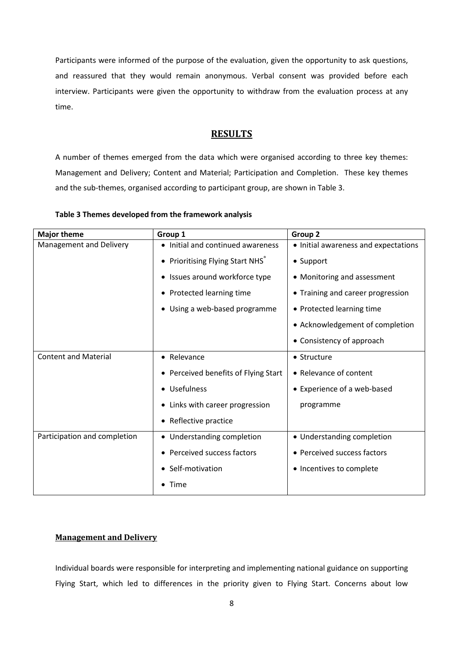Participants were informed of the purpose of the evaluation, given the opportunity to ask questions, and reassured that they would remain anonymous. Verbal consent was provided before each interview. Participants were given the opportunity to withdraw from the evaluation process at any time.

## **RESULTS**

A number of themes emerged from the data which were organised according to three key themes: Management and Delivery; Content and Material; Participation and Completion. These key themes and the sub-themes, organised according to participant group, are shown in Table 3.

| Table 3 Themes developed from the framework analysis |  |  |  |
|------------------------------------------------------|--|--|--|
|------------------------------------------------------|--|--|--|

| <b>Major theme</b>           | Group 1                              | Group 2                              |  |  |
|------------------------------|--------------------------------------|--------------------------------------|--|--|
| Management and Delivery      | Initial and continued awareness      | • Initial awareness and expectations |  |  |
|                              | • Prioritising Flying Start NHS      | • Support                            |  |  |
|                              | • Issues around workforce type       | • Monitoring and assessment          |  |  |
|                              | Protected learning time              | • Training and career progression    |  |  |
|                              | • Using a web-based programme        | • Protected learning time            |  |  |
|                              |                                      | • Acknowledgement of completion      |  |  |
|                              |                                      | • Consistency of approach            |  |  |
| <b>Content and Material</b>  | • Relevance                          | • Structure                          |  |  |
|                              | • Perceived benefits of Flying Start | • Relevance of content               |  |  |
|                              | • Usefulness                         | • Experience of a web-based          |  |  |
|                              | Links with career progression        | programme                            |  |  |
|                              | Reflective practice                  |                                      |  |  |
| Participation and completion | • Understanding completion           | • Understanding completion           |  |  |
|                              | Perceived success factors            | • Perceived success factors          |  |  |
|                              | • Self-motivation                    | • Incentives to complete             |  |  |
|                              | Time                                 |                                      |  |  |

## **Management and Delivery**

Individual boards were responsible for interpreting and implementing national guidance on supporting Flying Start, which led to differences in the priority given to Flying Start. Concerns about low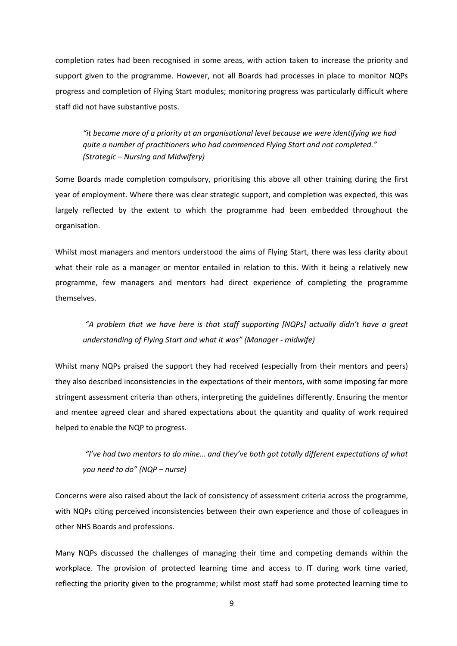completion rates had been recognised in some areas, with action taken to increase the priority and support given to the programme. However, not all Boards had processes in place to monitor NQPs progress and completion of Flying Start modules; monitoring progress was particularly difficult where staff did not have substantive posts.

*"it became more of a priority at an organisational level because we were identifying we had quite a number of practitioners who had commenced Flying Start and not completed." (Strategic – Nursing and Midwifery)*

Some Boards made completion compulsory, prioritising this above all other training during the first year of employment. Where there was clear strategic support, and completion was expected, this was largely reflected by the extent to which the programme had been embedded throughout the organisation.

Whilst most managers and mentors understood the aims of Flying Start, there was less clarity about what their role as a manager or mentor entailed in relation to this. With it being a relatively new programme, few managers and mentors had direct experience of completing the programme themselves.

*"A problem that we have here is that staff supporting [NQPs] actually didn't have a great understanding of Flying Start and what it was" (Manager - midwife)*

Whilst many NQPs praised the support they had received (especially from their mentors and peers) they also described inconsistencies in the expectations of their mentors, with some imposing far more stringent assessment criteria than others, interpreting the guidelines differently. Ensuring the mentor and mentee agreed clear and shared expectations about the quantity and quality of work required helped to enable the NQP to progress.

*"I've had two mentors to do mine… and they've both got totally different expectations of what you need to do" (NQP – nurse)*

Concerns were also raised about the lack of consistency of assessment criteria across the programme, with NQPs citing perceived inconsistencies between their own experience and those of colleagues in other NHS Boards and professions.

Many NQPs discussed the challenges of managing their time and competing demands within the workplace. The provision of protected learning time and access to IT during work time varied, reflecting the priority given to the programme; whilst most staff had some protected learning time to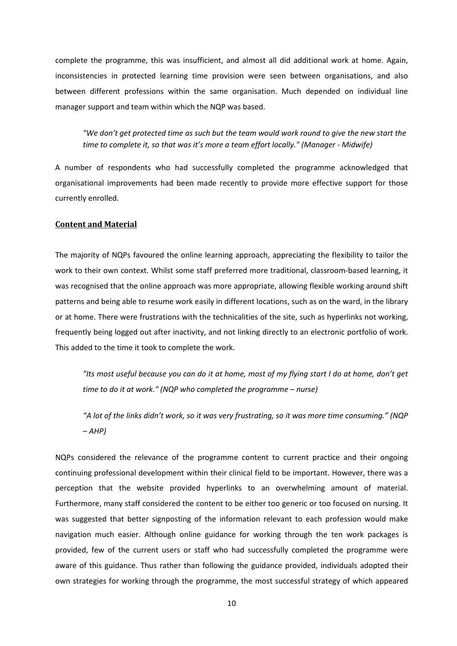complete the programme, this was insufficient, and almost all did additional work at home. Again, inconsistencies in protected learning time provision were seen between organisations, and also between different professions within the same organisation. Much depended on individual line manager support and team within which the NQP was based.

*"We don't get protected time as such but the team would work round to give the new start the time to complete it, so that was it's more a team effort locally." (Manager - Midwife)*

A number of respondents who had successfully completed the programme acknowledged that organisational improvements had been made recently to provide more effective support for those currently enrolled.

#### **Content and Material**

The majority of NQPs favoured the online learning approach, appreciating the flexibility to tailor the work to their own context. Whilst some staff preferred more traditional, classroom-based learning, it was recognised that the online approach was more appropriate, allowing flexible working around shift patterns and being able to resume work easily in different locations, such as on the ward, in the library or at home. There were frustrations with the technicalities of the site, such as hyperlinks not working, frequently being logged out after inactivity, and not linking directly to an electronic portfolio of work. This added to the time it took to complete the work.

*"Its most useful because you can do it at home, most of my flying start I do at home, don't get time to do it at work." (NQP who completed the programme – nurse)*

*"A lot of the links didn't work, so it was very frustrating, so it was more time consuming." (NQP – AHP)*

NQPs considered the relevance of the programme content to current practice and their ongoing continuing professional development within their clinical field to be important. However, there was a perception that the website provided hyperlinks to an overwhelming amount of material. Furthermore, many staff considered the content to be either too generic or too focused on nursing. It was suggested that better signposting of the information relevant to each profession would make navigation much easier. Although online guidance for working through the ten work packages is provided, few of the current users or staff who had successfully completed the programme were aware of this guidance. Thus rather than following the guidance provided, individuals adopted their own strategies for working through the programme, the most successful strategy of which appeared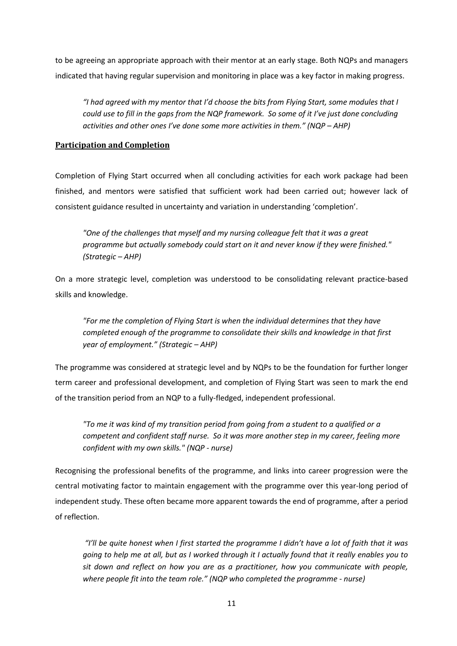to be agreeing an appropriate approach with their mentor at an early stage. Both NQPs and managers indicated that having regular supervision and monitoring in place was a key factor in making progress.

*"I had agreed with my mentor that I'd choose the bits from Flying Start, some modules that I could use to fill in the gaps from the NQP framework. So some of it I've just done concluding activities and other ones I've done some more activities in them." (NQP – AHP)*

## **Participation and Completion**

Completion of Flying Start occurred when all concluding activities for each work package had been finished, and mentors were satisfied that sufficient work had been carried out; however lack of consistent guidance resulted in uncertainty and variation in understanding 'completion'.

*"One of the challenges that myself and my nursing colleague felt that it was a great programme but actually somebody could start on it and never know if they were finished." (Strategic – AHP)*

On a more strategic level, completion was understood to be consolidating relevant practice-based skills and knowledge.

*"For me the completion of Flying Start is when the individual determines that they have completed enough of the programme to consolidate their skills and knowledge in that first year of employment." (Strategic – AHP)*

The programme was considered at strategic level and by NQPs to be the foundation for further longer term career and professional development, and completion of Flying Start was seen to mark the end of the transition period from an NQP to a fully-fledged, independent professional.

*"To me it was kind of my transition period from going from a student to a qualified or a competent and confident staff nurse. So it was more another step in my career, feeling more confident with my own skills." (NQP - nurse)*

Recognising the professional benefits of the programme, and links into career progression were the central motivating factor to maintain engagement with the programme over this year-long period of independent study. These often became more apparent towards the end of programme, after a period of reflection.

*"I'll be quite honest when I first started the programme I didn't have a lot of faith that it was going to help me at all, but as I worked through it I actually found that it really enables you to sit down and reflect on how you are as a practitioner, how you communicate with people, where people fit into the team role." (NQP who completed the programme - nurse)*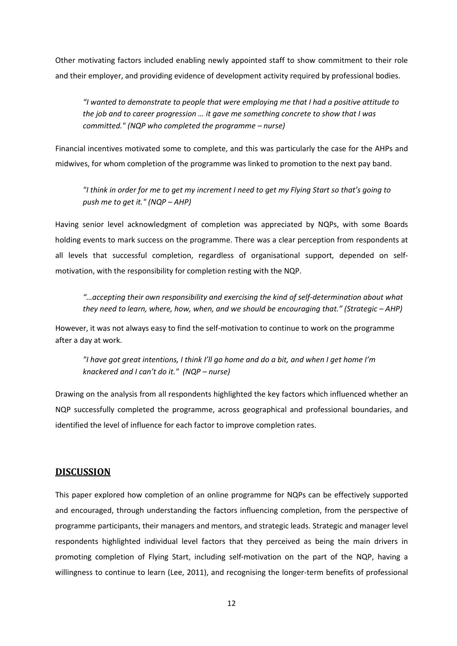Other motivating factors included enabling newly appointed staff to show commitment to their role and their employer, and providing evidence of development activity required by professional bodies.

*"I wanted to demonstrate to people that were employing me that I had a positive attitude to the job and to career progression … it gave me something concrete to show that I was committed." (NQP who completed the programme – nurse)*

Financial incentives motivated some to complete, and this was particularly the case for the AHPs and midwives, for whom completion of the programme was linked to promotion to the next pay band.

*"I think in order for me to get my increment I need to get my Flying Start so that's going to push me to get it." (NQP – AHP)*

Having senior level acknowledgment of completion was appreciated by NQPs, with some Boards holding events to mark success on the programme. There was a clear perception from respondents at all levels that successful completion, regardless of organisational support, depended on selfmotivation, with the responsibility for completion resting with the NQP.

*"…accepting their own responsibility and exercising the kind of self-determination about what they need to learn, where, how, when, and we should be encouraging that." (Strategic – AHP)*

However, it was not always easy to find the self-motivation to continue to work on the programme after a day at work.

*"I have got great intentions, I think I'll go home and do a bit, and when I get home I'm knackered and I can't do it." (NQP – nurse)*

Drawing on the analysis from all respondents highlighted the key factors which influenced whether an NQP successfully completed the programme, across geographical and professional boundaries, and identified the level of influence for each factor to improve completion rates.

## **DISCUSSION**

This paper explored how completion of an online programme for NQPs can be effectively supported and encouraged, through understanding the factors influencing completion, from the perspective of programme participants, their managers and mentors, and strategic leads. Strategic and manager level respondents highlighted individual level factors that they perceived as being the main drivers in promoting completion of Flying Start, including self-motivation on the part of the NQP, having a willingness to continue to learn (Lee, 2011), and recognising the longer-term benefits of professional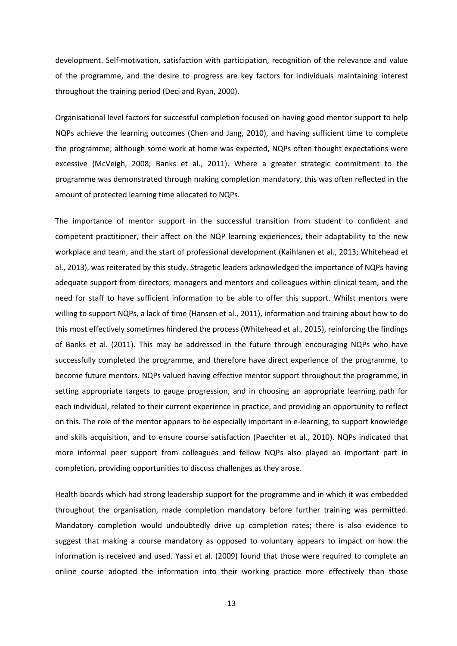development. Self-motivation, satisfaction with participation, recognition of the relevance and value of the programme, and the desire to progress are key factors for individuals maintaining interest throughout the training period (Deci and Ryan, 2000).

Organisational level factors for successful completion focused on having good mentor support to help NQPs achieve the learning outcomes (Chen and Jang, 2010), and having sufficient time to complete the programme; although some work at home was expected, NQPs often thought expectations were excessive (McVeigh, 2008; Banks et al., 2011). Where a greater strategic commitment to the programme was demonstrated through making completion mandatory, this was often reflected in the amount of protected learning time allocated to NQPs.

The importance of mentor support in the successful transition from student to confident and competent practitioner, their affect on the NQP learning experiences, their adaptability to the new workplace and team, and the start of professional development (Kaihlanen et al., 2013; Whitehead et al., 2013), was reiterated by this study. Stragetic leaders acknowledged the importance of NQPs having adequate support from directors, managers and mentors and colleagues within clinical team, and the need for staff to have sufficient information to be able to offer this support. Whilst mentors were willing to support NQPs, a lack of time (Hansen et al., 2011), information and training about how to do this most effectively sometimes hindered the process (Whitehead et al., 2015), reinforcing the findings of Banks et al. (2011). This may be addressed in the future through encouraging NQPs who have successfully completed the programme, and therefore have direct experience of the programme, to become future mentors. NQPs valued having effective mentor support throughout the programme, in setting appropriate targets to gauge progression, and in choosing an appropriate learning path for each individual, related to their current experience in practice, and providing an opportunity to reflect on this. The role of the mentor appears to be especially important in e-learning, to support knowledge and skills acquisition, and to ensure course satisfaction (Paechter et al., 2010). NQPs indicated that more informal peer support from colleagues and fellow NQPs also played an important part in completion, providing opportunities to discuss challenges as they arose.

Health boards which had strong leadership support for the programme and in which it was embedded throughout the organisation, made completion mandatory before further training was permitted. Mandatory completion would undoubtedly drive up completion rates; there is also evidence to suggest that making a course mandatory as opposed to voluntary appears to impact on how the information is received and used. Yassi et al. (2009) found that those were required to complete an online course adopted the information into their working practice more effectively than those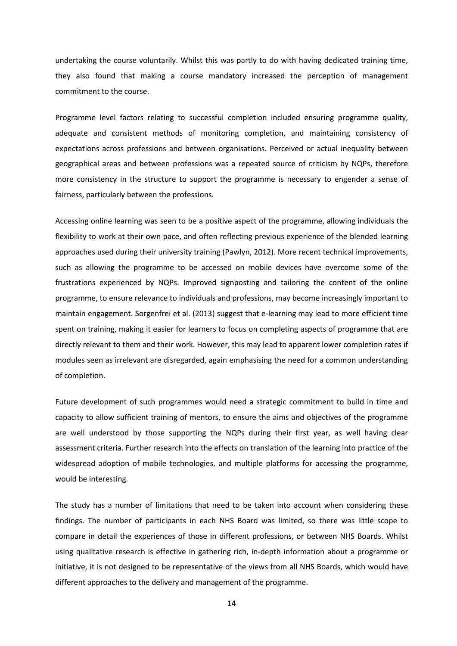undertaking the course voluntarily. Whilst this was partly to do with having dedicated training time, they also found that making a course mandatory increased the perception of management commitment to the course.

Programme level factors relating to successful completion included ensuring programme quality, adequate and consistent methods of monitoring completion, and maintaining consistency of expectations across professions and between organisations. Perceived or actual inequality between geographical areas and between professions was a repeated source of criticism by NQPs, therefore more consistency in the structure to support the programme is necessary to engender a sense of fairness, particularly between the professions.

Accessing online learning was seen to be a positive aspect of the programme, allowing individuals the flexibility to work at their own pace, and often reflecting previous experience of the blended learning approaches used during their university training (Pawlyn, 2012). More recent technical improvements, such as allowing the programme to be accessed on mobile devices have overcome some of the frustrations experienced by NQPs. Improved signposting and tailoring the content of the online programme, to ensure relevance to individuals and professions, may become increasingly important to maintain engagement. Sorgenfrei et al. (2013) suggest that e-learning may lead to more efficient time spent on training, making it easier for learners to focus on completing aspects of programme that are directly relevant to them and their work. However, this may lead to apparent lower completion rates if modules seen as irrelevant are disregarded, again emphasising the need for a common understanding of completion.

Future development of such programmes would need a strategic commitment to build in time and capacity to allow sufficient training of mentors, to ensure the aims and objectives of the programme are well understood by those supporting the NQPs during their first year, as well having clear assessment criteria. Further research into the effects on translation of the learning into practice of the widespread adoption of mobile technologies, and multiple platforms for accessing the programme, would be interesting.

The study has a number of limitations that need to be taken into account when considering these findings. The number of participants in each NHS Board was limited, so there was little scope to compare in detail the experiences of those in different professions, or between NHS Boards. Whilst using qualitative research is effective in gathering rich, in-depth information about a programme or initiative, it is not designed to be representative of the views from all NHS Boards, which would have different approaches to the delivery and management of the programme.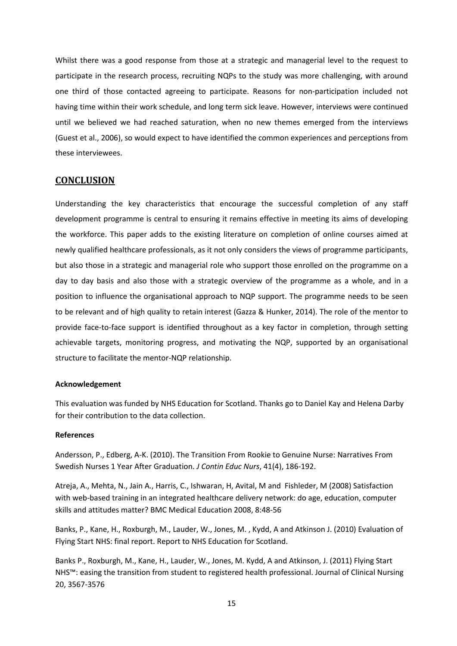Whilst there was a good response from those at a strategic and managerial level to the request to participate in the research process, recruiting NQPs to the study was more challenging, with around one third of those contacted agreeing to participate. Reasons for non-participation included not having time within their work schedule, and long term sick leave. However, interviews were continued until we believed we had reached saturation, when no new themes emerged from the interviews (Guest et al., 2006), so would expect to have identified the common experiences and perceptions from these interviewees.

## **CONCLUSION**

Understanding the key characteristics that encourage the successful completion of any staff development programme is central to ensuring it remains effective in meeting its aims of developing the workforce. This paper adds to the existing literature on completion of online courses aimed at newly qualified healthcare professionals, as it not only considers the views of programme participants, but also those in a strategic and managerial role who support those enrolled on the programme on a day to day basis and also those with a strategic overview of the programme as a whole, and in a position to influence the organisational approach to NQP support. The programme needs to be seen to be relevant and of high quality to retain interest (Gazza & Hunker, 2014). The role of the mentor to provide face-to-face support is identified throughout as a key factor in completion, through setting achievable targets, monitoring progress, and motivating the NQP, supported by an organisational structure to facilitate the mentor-NQP relationship.

#### **Acknowledgement**

This evaluation was funded by NHS Education for Scotland. Thanks go to Daniel Kay and Helena Darby for their contribution to the data collection.

#### **References**

Andersson, P., Edberg, A-K. (2010). The Transition From Rookie to Genuine Nurse: Narratives From Swedish Nurses 1 Year After Graduation. *J Contin Educ Nurs*, 41(4), 186-192.

Atreja, A., Mehta, N., Jain A., Harris, C., Ishwaran, H, Avital, M and Fishleder, M (2008) Satisfaction with web-based training in an integrated healthcare delivery network: do age, education, computer skills and attitudes matter? BMC Medical Education 2008, 8:48-56

Banks, P., Kane, H., Roxburgh, M., Lauder, W., Jones, M. , Kydd, A and Atkinson J. (2010) Evaluation of Flying Start NHS: final report. Report to NHS Education for Scotland.

Banks P., Roxburgh, M., Kane, H., Lauder, W., Jones, M. Kydd, A and Atkinson, J. (2011) Flying Start NHS™: easing the transition from student to registered health professional. Journal of Clinical Nursing 20, 3567-3576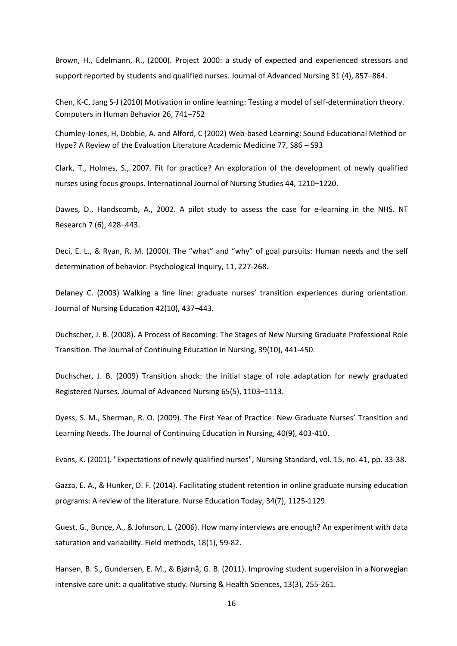Brown, H., Edelmann, R., (2000). Project 2000: a study of expected and experienced stressors and support reported by students and qualified nurses. Journal of Advanced Nursing 31 (4), 857–864.

Chen, K-C, Jang S-J (2010) Motivation in online learning: Testing a model of self-determination theory. Computers in Human Behavior 26, 741–752

Chumley-Jones, H, Dobbie, A. and Alford, C (2002) Web-based Learning: Sound Educational Method or Hype? A Review of the Evaluation Literature Academic Medicine 77, S86 – S93

Clark, T., Holmes, S., 2007. Fit for practice? An exploration of the development of newly qualified nurses using focus groups. International Journal of Nursing Studies 44, 1210–1220.

Dawes, D., Handscomb, A., 2002. A pilot study to assess the case for e-learning in the NHS. NT Research 7 (6), 428–443.

Deci, E. L., & Ryan, R. M. (2000). The "what" and "why" of goal pursuits: Human needs and the self determination of behavior. Psychological Inquiry, 11, 227-268.

Delaney C. (2003) Walking a fine line: graduate nurses' transition experiences during orientation. Journal of Nursing Education 42(10), 437–443.

Duchscher, J. B. (2008). A Process of Becoming: The Stages of New Nursing Graduate Professional Role Transition. The Journal of Continuing Education in Nursing, 39(10), 441-450.

Duchscher, J. B. (2009) Transition shock: the initial stage of role adaptation for newly graduated Registered Nurses. Journal of Advanced Nursing 65(5), 1103–1113.

Dyess, S. M., Sherman, R. O. (2009). The First Year of Practice: New Graduate Nurses' Transition and Learning Needs. The Journal of Continuing Education in Nursing, 40(9), 403-410.

Evans, K. (2001). "Expectations of newly qualified nurses", Nursing Standard, vol. 15, no. 41, pp. 33-38.

Gazza, E. A., & Hunker, D. F. (2014). Facilitating student retention in online graduate nursing education programs: A review of the literature. Nurse Education Today, 34(7), 1125-1129.

Guest, G., Bunce, A., & Johnson, L. (2006). How many interviews are enough? An experiment with data saturation and variability. Field methods, 18(1), 59-82.

Hansen, B. S., Gundersen, E. M., & Bjørnå, G. B. (2011). Improving student supervision in a Norwegian intensive care unit: a qualitative study. Nursing & Health Sciences, 13(3), 255-261.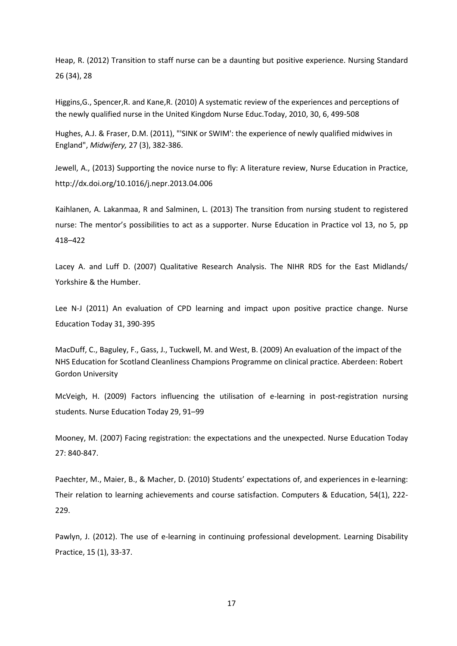Heap, R. (2012) Transition to staff nurse can be a daunting but positive experience. Nursing Standard 26 (34), 28

Higgins,G., Spencer,R. and Kane,R. (2010) A systematic review of the experiences and perceptions of the newly qualified nurse in the United Kingdom Nurse Educ.Today, 2010, 30, 6, 499-508

Hughes, A.J. & Fraser, D.M. (2011), "'SINK or SWIM': the experience of newly qualified midwives in England", *Midwifery,* 27 (3), 382-386.

Jewell, A., (2013) Supporting the novice nurse to fly: A literature review, Nurse Education in Practice, http://dx.doi.org/10.1016/j.nepr.2013.04.006

Kaihlanen, A. Lakanmaa, R and Salminen, L. (2013) The transition from nursing student to registered nurse: The mentor's possibilities to act as a supporter. Nurse Education in Practice vol 13, no 5, pp 418–422

Lacey A. and Luff D. (2007) Qualitative Research Analysis. The NIHR RDS for the East Midlands/ Yorkshire & the Humber.

Lee N-J (2011) An evaluation of CPD learning and impact upon positive practice change. Nurse Education Today 31, 390-395

MacDuff, C., Baguley, F., Gass, J., Tuckwell, M. and West, B. (2009) An evaluation of the impact of the NHS Education for Scotland Cleanliness Champions Programme on clinical practice. Aberdeen: Robert Gordon University

McVeigh, H. (2009) Factors influencing the utilisation of e-learning in post-registration nursing students. Nurse Education Today 29, 91–99

Mooney, M. (2007) Facing registration: the expectations and the unexpected. Nurse Education Today 27: 840-847.

Paechter, M., Maier, B., & Macher, D. (2010) Students' expectations of, and experiences in e-learning: Their relation to learning achievements and course satisfaction. Computers & Education, 54(1), 222- 229.

Pawlyn, J. (2012). The use of e-learning in continuing professional development. Learning Disability Practice, 15 (1), 33-37.